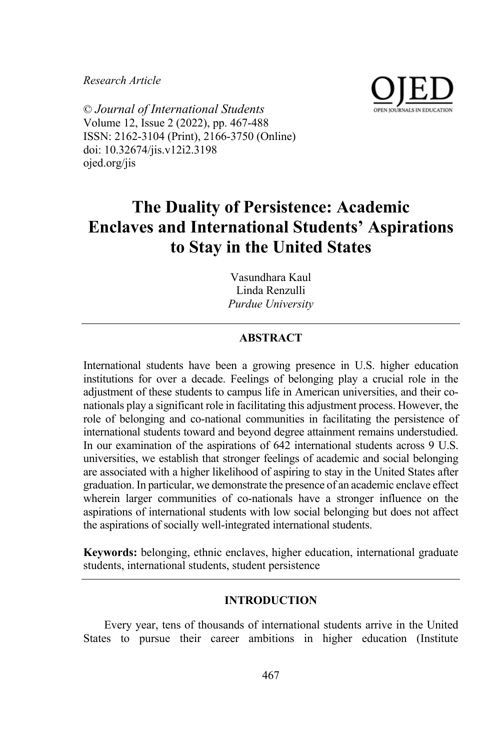*Research Article*



© *Journal of International Students* Volume 12, Issue 2 (2022), pp. 467-488 ISSN: 2162-3104 (Print), 2166-3750 (Online) doi: 10.32674/jis.v12i2.3198 ojed.org/jis

# **The Duality of Persistence: Academic Enclaves and International Students' Aspirations to Stay in the United States**

Vasundhara Kaul Linda Renzulli *Purdue University*

# **ABSTRACT**

International students have been a growing presence in U.S. higher education institutions for over a decade. Feelings of belonging play a crucial role in the adjustment of these students to campus life in American universities, and their conationals play a significant role in facilitating this adjustment process. However, the role of belonging and co-national communities in facilitating the persistence of international students toward and beyond degree attainment remains understudied. In our examination of the aspirations of 642 international students across 9 U.S. universities, we establish that stronger feelings of academic and social belonging are associated with a higher likelihood of aspiring to stay in the United States after graduation. In particular, we demonstrate the presence of an academic enclave effect wherein larger communities of co-nationals have a stronger influence on the aspirations of international students with low social belonging but does not affect the aspirations of socially well-integrated international students.

**Keywords:** belonging, ethnic enclaves, higher education, international graduate students, international students, student persistence

## **INTRODUCTION**

Every year, tens of thousands of international students arrive in the United States to pursue their career ambitions in higher education (Institute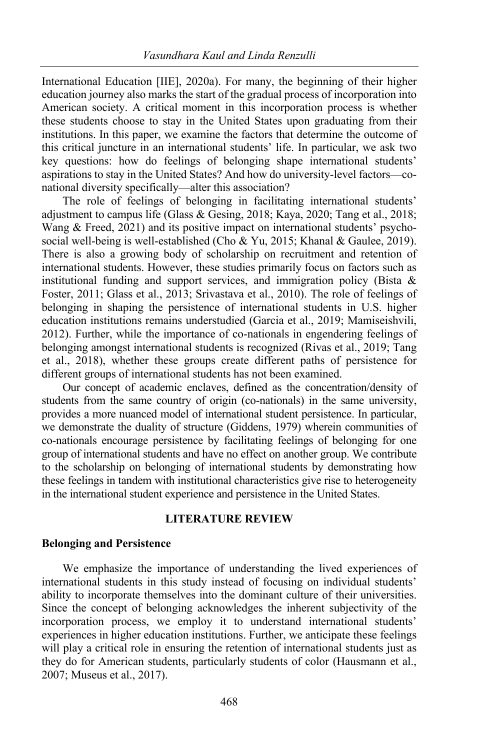International Education [IIE], 2020a). For many, the beginning of their higher education journey also marks the start of the gradual process of incorporation into American society. A critical moment in this incorporation process is whether these students choose to stay in the United States upon graduating from their institutions. In this paper, we examine the factors that determine the outcome of this critical juncture in an international students' life. In particular, we ask two key questions: how do feelings of belonging shape international students' aspirations to stay in the United States? And how do university-level factors—conational diversity specifically—alter this association?

The role of feelings of belonging in facilitating international students' adjustment to campus life (Glass & Gesing, 2018; Kaya, 2020; Tang et al., 2018; Wang & Freed, 2021) and its positive impact on international students' psychosocial well-being is well-established (Cho & Yu, 2015; Khanal & Gaulee, 2019). There is also a growing body of scholarship on recruitment and retention of international students. However, these studies primarily focus on factors such as institutional funding and support services, and immigration policy (Bista & Foster, 2011; Glass et al., 2013; Srivastava et al., 2010). The role of feelings of belonging in shaping the persistence of international students in U.S. higher education institutions remains understudied (Garcia et al., 2019; Mamiseishvili, 2012). Further, while the importance of co-nationals in engendering feelings of belonging amongst international students is recognized (Rivas et al., 2019; Tang et al., 2018), whether these groups create different paths of persistence for different groups of international students has not been examined.

Our concept of academic enclaves, defined as the concentration/density of students from the same country of origin (co-nationals) in the same university, provides a more nuanced model of international student persistence. In particular, we demonstrate the duality of structure (Giddens, 1979) wherein communities of co-nationals encourage persistence by facilitating feelings of belonging for one group of international students and have no effect on another group. We contribute to the scholarship on belonging of international students by demonstrating how these feelings in tandem with institutional characteristics give rise to heterogeneity in the international student experience and persistence in the United States.

# **LITERATURE REVIEW**

#### **Belonging and Persistence**

We emphasize the importance of understanding the lived experiences of international students in this study instead of focusing on individual students' ability to incorporate themselves into the dominant culture of their universities. Since the concept of belonging acknowledges the inherent subjectivity of the incorporation process, we employ it to understand international students' experiences in higher education institutions. Further, we anticipate these feelings will play a critical role in ensuring the retention of international students just as they do for American students, particularly students of color (Hausmann et al., 2007; Museus et al., 2017).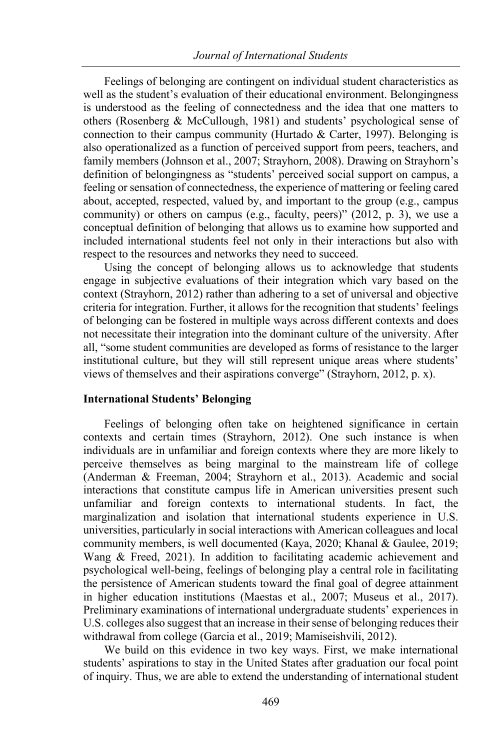Feelings of belonging are contingent on individual student characteristics as well as the student's evaluation of their educational environment. Belongingness is understood as the feeling of connectedness and the idea that one matters to others (Rosenberg & McCullough, 1981) and students' psychological sense of connection to their campus community (Hurtado & Carter, 1997). Belonging is also operationalized as a function of perceived support from peers, teachers, and family members (Johnson et al., 2007; Strayhorn, 2008). Drawing on Strayhorn's definition of belongingness as "students' perceived social support on campus, a feeling or sensation of connectedness, the experience of mattering or feeling cared about, accepted, respected, valued by, and important to the group (e.g., campus community) or others on campus (e.g., faculty, peers)" (2012, p. 3), we use a conceptual definition of belonging that allows us to examine how supported and included international students feel not only in their interactions but also with respect to the resources and networks they need to succeed.

Using the concept of belonging allows us to acknowledge that students engage in subjective evaluations of their integration which vary based on the context (Strayhorn, 2012) rather than adhering to a set of universal and objective criteria for integration. Further, it allows for the recognition that students' feelings of belonging can be fostered in multiple ways across different contexts and does not necessitate their integration into the dominant culture of the university. After all, "some student communities are developed as forms of resistance to the larger institutional culture, but they will still represent unique areas where students' views of themselves and their aspirations converge" (Strayhorn, 2012, p. x).

#### **International Students' Belonging**

Feelings of belonging often take on heightened significance in certain contexts and certain times (Strayhorn, 2012). One such instance is when individuals are in unfamiliar and foreign contexts where they are more likely to perceive themselves as being marginal to the mainstream life of college (Anderman & Freeman, 2004; Strayhorn et al., 2013). Academic and social interactions that constitute campus life in American universities present such unfamiliar and foreign contexts to international students. In fact, the marginalization and isolation that international students experience in U.S. universities, particularly in social interactions with American colleagues and local community members, is well documented (Kaya, 2020; Khanal & Gaulee, 2019; Wang & Freed, 2021). In addition to facilitating academic achievement and psychological well-being, feelings of belonging play a central role in facilitating the persistence of American students toward the final goal of degree attainment in higher education institutions (Maestas et al., 2007; Museus et al., 2017). Preliminary examinations of international undergraduate students' experiences in U.S. colleges also suggest that an increase in their sense of belonging reduces their withdrawal from college (Garcia et al., 2019; Mamiseishvili, 2012).

We build on this evidence in two key ways. First, we make international students' aspirations to stay in the United States after graduation our focal point of inquiry. Thus, we are able to extend the understanding of international student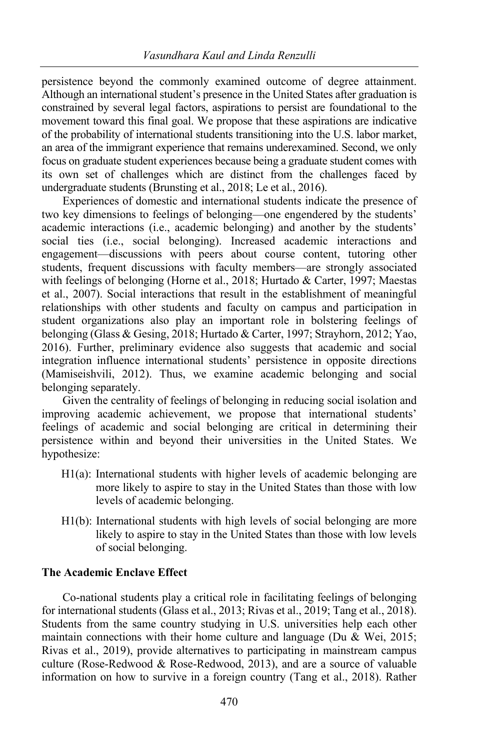persistence beyond the commonly examined outcome of degree attainment. Although an international student's presence in the United States after graduation is constrained by several legal factors, aspirations to persist are foundational to the movement toward this final goal. We propose that these aspirations are indicative of the probability of international students transitioning into the U.S. labor market, an area of the immigrant experience that remains underexamined. Second, we only focus on graduate student experiences because being a graduate student comes with its own set of challenges which are distinct from the challenges faced by undergraduate students (Brunsting et al., 2018; Le et al., 2016).

Experiences of domestic and international students indicate the presence of two key dimensions to feelings of belonging—one engendered by the students' academic interactions (i.e., academic belonging) and another by the students' social ties (i.e., social belonging). Increased academic interactions and engagement—discussions with peers about course content, tutoring other students, frequent discussions with faculty members—are strongly associated with feelings of belonging (Horne et al., 2018; Hurtado & Carter, 1997; Maestas et al., 2007). Social interactions that result in the establishment of meaningful relationships with other students and faculty on campus and participation in student organizations also play an important role in bolstering feelings of belonging (Glass & Gesing, 2018; Hurtado & Carter, 1997; Strayhorn, 2012; Yao, 2016). Further, preliminary evidence also suggests that academic and social integration influence international students' persistence in opposite directions (Mamiseishvili, 2012). Thus, we examine academic belonging and social belonging separately.

Given the centrality of feelings of belonging in reducing social isolation and improving academic achievement, we propose that international students' feelings of academic and social belonging are critical in determining their persistence within and beyond their universities in the United States. We hypothesize:

- H1(a): International students with higher levels of academic belonging are more likely to aspire to stay in the United States than those with low levels of academic belonging.
- H1(b): International students with high levels of social belonging are more likely to aspire to stay in the United States than those with low levels of social belonging.

# **The Academic Enclave Effect**

Co-national students play a critical role in facilitating feelings of belonging for international students (Glass et al., 2013; Rivas et al., 2019; Tang et al., 2018). Students from the same country studying in U.S. universities help each other maintain connections with their home culture and language (Du & Wei, 2015; Rivas et al., 2019), provide alternatives to participating in mainstream campus culture (Rose-Redwood & Rose-Redwood, 2013), and are a source of valuable information on how to survive in a foreign country (Tang et al., 2018). Rather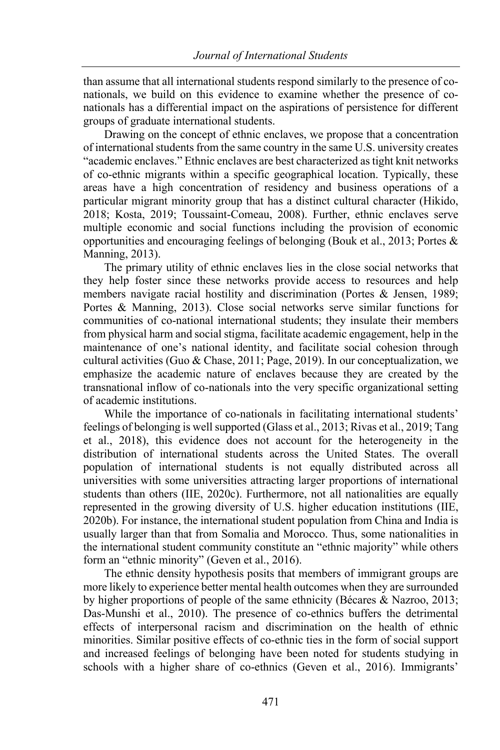than assume that all international students respond similarly to the presence of conationals, we build on this evidence to examine whether the presence of conationals has a differential impact on the aspirations of persistence for different groups of graduate international students.

Drawing on the concept of ethnic enclaves, we propose that a concentration of international students from the same country in the same U.S. university creates "academic enclaves." Ethnic enclaves are best characterized as tight knit networks of co-ethnic migrants within a specific geographical location. Typically, these areas have a high concentration of residency and business operations of a particular migrant minority group that has a distinct cultural character (Hikido, 2018; Kosta, 2019; Toussaint-Comeau, 2008). Further, ethnic enclaves serve multiple economic and social functions including the provision of economic opportunities and encouraging feelings of belonging (Bouk et al., 2013; Portes & Manning, 2013).

The primary utility of ethnic enclaves lies in the close social networks that they help foster since these networks provide access to resources and help members navigate racial hostility and discrimination (Portes & Jensen, 1989; Portes & Manning, 2013). Close social networks serve similar functions for communities of co-national international students; they insulate their members from physical harm and social stigma, facilitate academic engagement, help in the maintenance of one's national identity, and facilitate social cohesion through cultural activities (Guo & Chase, 2011; Page, 2019). In our conceptualization, we emphasize the academic nature of enclaves because they are created by the transnational inflow of co-nationals into the very specific organizational setting of academic institutions.

While the importance of co-nationals in facilitating international students' feelings of belonging is well supported (Glass et al., 2013; Rivas et al., 2019; Tang et al., 2018), this evidence does not account for the heterogeneity in the distribution of international students across the United States. The overall population of international students is not equally distributed across all universities with some universities attracting larger proportions of international students than others (IIE, 2020c). Furthermore, not all nationalities are equally represented in the growing diversity of U.S. higher education institutions (IIE, 2020b). For instance, the international student population from China and India is usually larger than that from Somalia and Morocco. Thus, some nationalities in the international student community constitute an "ethnic majority" while others form an "ethnic minority" (Geven et al., 2016).

The ethnic density hypothesis posits that members of immigrant groups are more likely to experience better mental health outcomes when they are surrounded by higher proportions of people of the same ethnicity (Bécares & Nazroo, 2013; Das-Munshi et al., 2010). The presence of co-ethnics buffers the detrimental effects of interpersonal racism and discrimination on the health of ethnic minorities. Similar positive effects of co-ethnic ties in the form of social support and increased feelings of belonging have been noted for students studying in schools with a higher share of co-ethnics (Geven et al., 2016). Immigrants'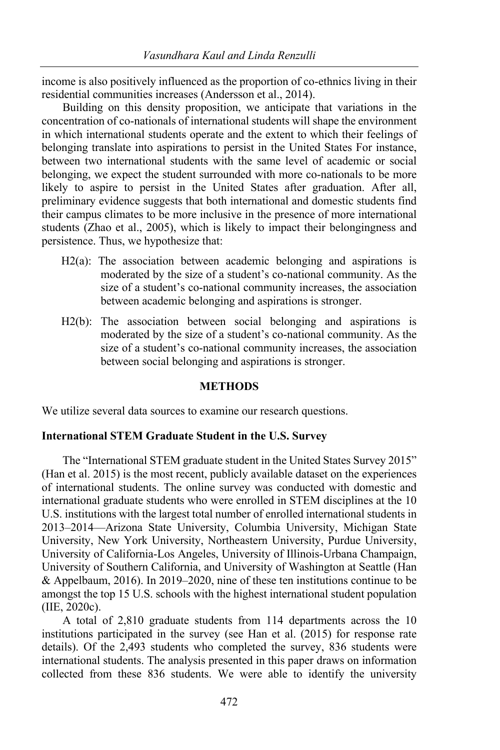income is also positively influenced as the proportion of co-ethnics living in their residential communities increases (Andersson et al., 2014).

Building on this density proposition, we anticipate that variations in the concentration of co-nationals of international students will shape the environment in which international students operate and the extent to which their feelings of belonging translate into aspirations to persist in the United States For instance, between two international students with the same level of academic or social belonging, we expect the student surrounded with more co-nationals to be more likely to aspire to persist in the United States after graduation. After all, preliminary evidence suggests that both international and domestic students find their campus climates to be more inclusive in the presence of more international students (Zhao et al., 2005), which is likely to impact their belongingness and persistence. Thus, we hypothesize that:

- H2(a): The association between academic belonging and aspirations is moderated by the size of a student's co-national community. As the size of a student's co-national community increases, the association between academic belonging and aspirations is stronger.
- H<sub>2</sub>(b): The association between social belonging and aspirations is moderated by the size of a student's co-national community. As the size of a student's co-national community increases, the association between social belonging and aspirations is stronger.

# **METHODS**

We utilize several data sources to examine our research questions.

# **International STEM Graduate Student in the U.S. Survey**

The "International STEM graduate student in the United States Survey 2015" (Han et al. 2015) is the most recent, publicly available dataset on the experiences of international students. The online survey was conducted with domestic and international graduate students who were enrolled in STEM disciplines at the 10 U.S. institutions with the largest total number of enrolled international students in 2013–2014—Arizona State University, Columbia University, Michigan State University, New York University, Northeastern University, Purdue University, University of California-Los Angeles, University of Illinois-Urbana Champaign, University of Southern California, and University of Washington at Seattle (Han & Appelbaum, 2016). In 2019–2020, nine of these ten institutions continue to be amongst the top 15 U.S. schools with the highest international student population (IIE, 2020c).

A total of 2,810 graduate students from 114 departments across the 10 institutions participated in the survey (see Han et al. (2015) for response rate details). Of the 2,493 students who completed the survey, 836 students were international students. The analysis presented in this paper draws on information collected from these 836 students. We were able to identify the university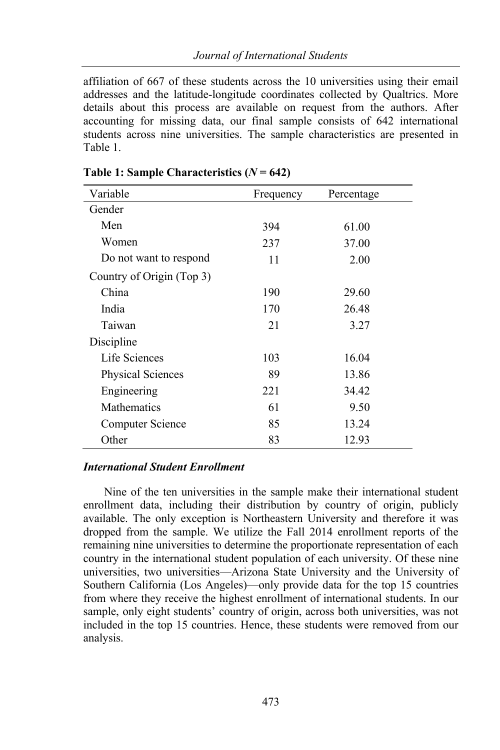affiliation of 667 of these students across the 10 universities using their email addresses and the latitude-longitude coordinates collected by Qualtrics. More details about this process are available on request from the authors. After accounting for missing data, our final sample consists of 642 international students across nine universities. The sample characteristics are presented in Table 1.

| Variable                  | Frequency | Percentage |
|---------------------------|-----------|------------|
| Gender                    |           |            |
| Men                       | 394       | 61.00      |
| Women                     | 237       | 37.00      |
| Do not want to respond    | 11        | 2.00       |
| Country of Origin (Top 3) |           |            |
| China                     | 190       | 29.60      |
| India                     | 170       | 26.48      |
| Taiwan                    | 21        | 3.27       |
| Discipline                |           |            |
| Life Sciences             | 103       | 16.04      |
| Physical Sciences         | 89        | 13.86      |
| Engineering               | 221       | 34.42      |
| <b>Mathematics</b>        | 61        | 9.50       |
| Computer Science          | 85        | 13.24      |
| Other                     | 83        | 12.93      |

# **Table 1: Sample Characteristics (***N* **= 642)**

## *International Student Enrollment*

Nine of the ten universities in the sample make their international student enrollment data, including their distribution by country of origin, publicly available. The only exception is Northeastern University and therefore it was dropped from the sample. We utilize the Fall 2014 enrollment reports of the remaining nine universities to determine the proportionate representation of each country in the international student population of each university. Of these nine universities, two universities—Arizona State University and the University of Southern California (Los Angeles)—only provide data for the top 15 countries from where they receive the highest enrollment of international students. In our sample, only eight students' country of origin, across both universities, was not included in the top 15 countries. Hence, these students were removed from our analysis.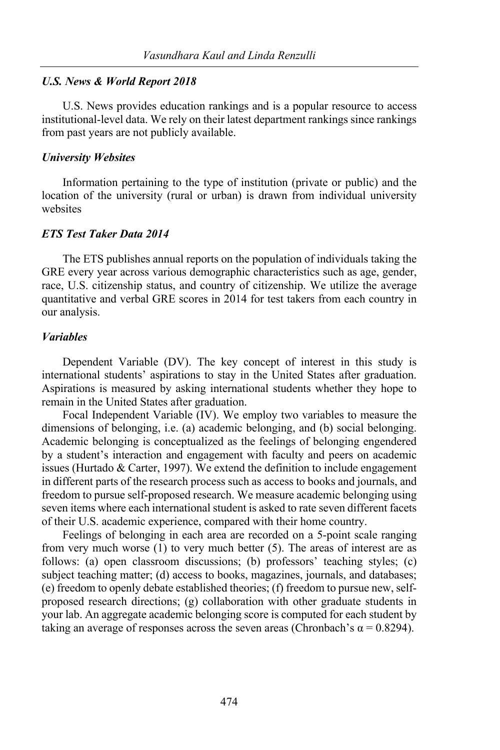#### *U.S. News & World Report 2018*

U.S. News provides education rankings and is a popular resource to access institutional-level data. We rely on their latest department rankings since rankings from past years are not publicly available.

#### *University Websites*

Information pertaining to the type of institution (private or public) and the location of the university (rural or urban) is drawn from individual university websites

#### *ETS Test Taker Data 2014*

The ETS publishes annual reports on the population of individuals taking the GRE every year across various demographic characteristics such as age, gender, race, U.S. citizenship status, and country of citizenship. We utilize the average quantitative and verbal GRE scores in 2014 for test takers from each country in our analysis.

#### *Variables*

Dependent Variable (DV). The key concept of interest in this study is international students' aspirations to stay in the United States after graduation. Aspirations is measured by asking international students whether they hope to remain in the United States after graduation.

Focal Independent Variable (IV). We employ two variables to measure the dimensions of belonging, i.e. (a) academic belonging, and (b) social belonging. Academic belonging is conceptualized as the feelings of belonging engendered by a student's interaction and engagement with faculty and peers on academic issues (Hurtado & Carter, 1997). We extend the definition to include engagement in different parts of the research process such as access to books and journals, and freedom to pursue self-proposed research. We measure academic belonging using seven items where each international student is asked to rate seven different facets of their U.S. academic experience, compared with their home country.

Feelings of belonging in each area are recorded on a 5-point scale ranging from very much worse (1) to very much better (5). The areas of interest are as follows: (a) open classroom discussions; (b) professors' teaching styles; (c) subject teaching matter; (d) access to books, magazines, journals, and databases; (e) freedom to openly debate established theories; (f) freedom to pursue new, selfproposed research directions; (g) collaboration with other graduate students in your lab. An aggregate academic belonging score is computed for each student by taking an average of responses across the seven areas (Chronbach's  $\alpha = 0.8294$ ).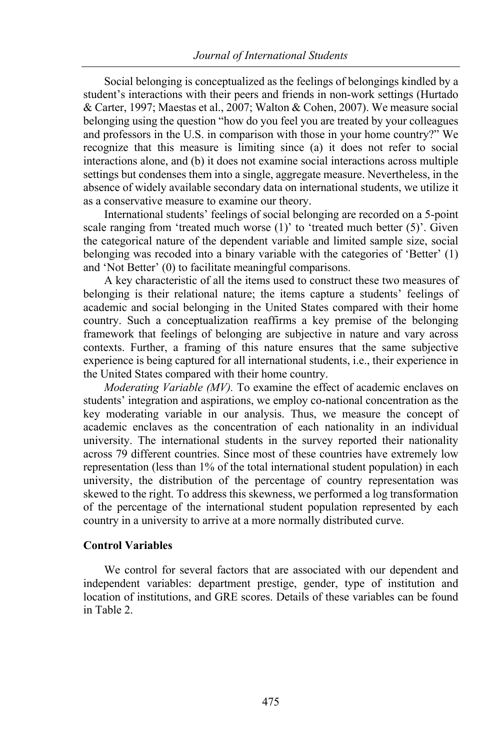Social belonging is conceptualized as the feelings of belongings kindled by a student's interactions with their peers and friends in non-work settings (Hurtado & Carter, 1997; Maestas et al., 2007; Walton & Cohen, 2007). We measure social belonging using the question "how do you feel you are treated by your colleagues and professors in the U.S. in comparison with those in your home country?" We recognize that this measure is limiting since (a) it does not refer to social interactions alone, and (b) it does not examine social interactions across multiple settings but condenses them into a single, aggregate measure. Nevertheless, in the absence of widely available secondary data on international students, we utilize it as a conservative measure to examine our theory.

International students' feelings of social belonging are recorded on a 5-point scale ranging from 'treated much worse (1)' to 'treated much better (5)'. Given the categorical nature of the dependent variable and limited sample size, social belonging was recoded into a binary variable with the categories of 'Better' (1) and 'Not Better' (0) to facilitate meaningful comparisons.

A key characteristic of all the items used to construct these two measures of belonging is their relational nature; the items capture a students' feelings of academic and social belonging in the United States compared with their home country. Such a conceptualization reaffirms a key premise of the belonging framework that feelings of belonging are subjective in nature and vary across contexts. Further, a framing of this nature ensures that the same subjective experience is being captured for all international students, i.e., their experience in the United States compared with their home country.

*Moderating Variable (MV).* To examine the effect of academic enclaves on students' integration and aspirations, we employ co-national concentration as the key moderating variable in our analysis. Thus, we measure the concept of academic enclaves as the concentration of each nationality in an individual university. The international students in the survey reported their nationality across 79 different countries. Since most of these countries have extremely low representation (less than 1% of the total international student population) in each university, the distribution of the percentage of country representation was skewed to the right. To address this skewness, we performed a log transformation of the percentage of the international student population represented by each country in a university to arrive at a more normally distributed curve.

# **Control Variables**

We control for several factors that are associated with our dependent and independent variables: department prestige, gender, type of institution and location of institutions, and GRE scores. Details of these variables can be found in Table 2.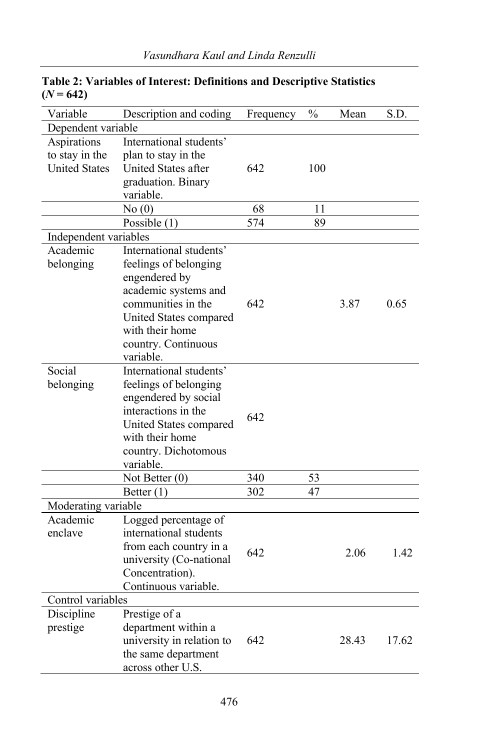| Variable              | Description and coding    | Frequency | $\frac{0}{0}$ | Mean  | S.D.  |  |
|-----------------------|---------------------------|-----------|---------------|-------|-------|--|
| Dependent variable    |                           |           |               |       |       |  |
| Aspirations           | International students'   |           |               |       |       |  |
| to stay in the        | plan to stay in the       |           |               |       |       |  |
| <b>United States</b>  | United States after       | 642       | 100           |       |       |  |
|                       | graduation. Binary        |           |               |       |       |  |
|                       | variable.                 |           |               |       |       |  |
|                       | No(0)                     | 68        | 11            |       |       |  |
|                       | Possible $(1)$            | 574       | 89            |       |       |  |
| Independent variables |                           |           |               |       |       |  |
| Academic              | International students'   |           |               |       |       |  |
| belonging             | feelings of belonging     |           |               |       |       |  |
|                       | engendered by             |           |               | 3.87  | 0.65  |  |
|                       | academic systems and      |           |               |       |       |  |
|                       | communities in the        | 642       |               |       |       |  |
|                       | United States compared    |           |               |       |       |  |
|                       | with their home           |           |               |       |       |  |
|                       | country. Continuous       |           |               |       |       |  |
|                       | variable.                 |           |               |       |       |  |
| Social                | International students'   |           |               |       |       |  |
| belonging             | feelings of belonging     |           |               |       |       |  |
|                       | engendered by social      |           |               |       |       |  |
|                       | interactions in the       | 642       |               |       |       |  |
|                       | United States compared    |           |               |       |       |  |
|                       | with their home           |           |               |       |       |  |
|                       | country. Dichotomous      |           |               |       |       |  |
|                       | variable.                 |           |               |       |       |  |
|                       | Not Better (0)            | 340       | 53            |       |       |  |
|                       | Better $(1)$              | 302       | 47            |       |       |  |
| Moderating variable   |                           |           |               |       |       |  |
| Academic              | Logged percentage of      |           |               |       |       |  |
| enclave               | international students    |           |               | 2.06  | 1.42  |  |
|                       | from each country in a    | 642       |               |       |       |  |
|                       | university (Co-national   |           |               |       |       |  |
|                       | Concentration).           |           |               |       |       |  |
|                       | Continuous variable.      |           |               |       |       |  |
| Control variables     |                           |           |               |       |       |  |
| Discipline            | Prestige of a             |           |               |       |       |  |
| prestige              | department within a       |           |               | 28.43 |       |  |
|                       | university in relation to | 642       |               |       | 17.62 |  |
|                       | the same department       |           |               |       |       |  |
|                       | across other U.S.         |           |               |       |       |  |

# **Table 2: Variables of Interest: Definitions and Descriptive Statistics**   $(N = 642)$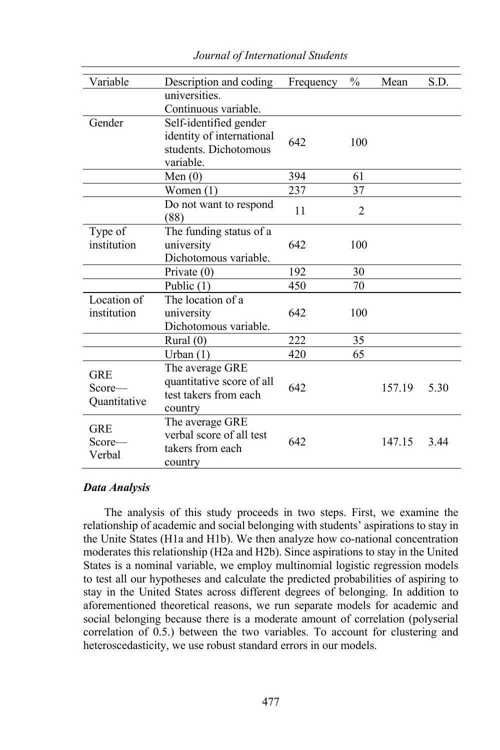| Variable                       | Description and coding    | Frequency | $\frac{0}{0}$ | Mean   | S.D. |
|--------------------------------|---------------------------|-----------|---------------|--------|------|
|                                | universities.             |           |               |        |      |
|                                | Continuous variable.      |           |               |        |      |
| Gender                         | Self-identified gender    |           |               |        |      |
|                                | identity of international | 642       | 100           |        |      |
|                                | students. Dichotomous     |           |               |        |      |
|                                | variable.                 |           |               |        |      |
|                                | Men $(0)$                 | 394       | 61            |        |      |
|                                | Women $(1)$               | 237       | 37            |        |      |
|                                | Do not want to respond    | 11        |               |        |      |
|                                | (88)                      |           | 2             |        |      |
| Type of                        | The funding status of a   |           |               |        |      |
| institution                    | university                | 642       | 100           |        |      |
|                                | Dichotomous variable.     |           |               |        |      |
|                                | Private $(0)$             | 192       | 30            |        |      |
|                                | Public $(1)$              | 450       | 70            |        |      |
| Location of                    | The location of a         |           |               |        |      |
| institution                    | university                | 642       | 100           |        |      |
|                                | Dichotomous variable.     |           |               |        |      |
|                                | Rural $(0)$               | 222       | 35            |        |      |
|                                | Urban $(1)$               | 420       | 65            |        |      |
| <b>GRE</b><br>$Score$ —        | The average GRE           |           |               |        |      |
|                                | quantitative score of all | 642       |               | 157.19 | 5.30 |
|                                | test takers from each     |           |               |        |      |
| Quantitative                   | country                   |           |               |        |      |
| <b>GRE</b><br>Score—<br>Verbal | The average GRE           |           |               |        |      |
|                                | verbal score of all test  | 642       |               | 147.15 | 3.44 |
|                                | takers from each          |           |               |        |      |
|                                | country                   |           |               |        |      |

*Journal of International Students*

#### *Data Analysis*

The analysis of this study proceeds in two steps. First, we examine the relationship of academic and social belonging with students' aspirations to stay in the Unite States (H1a and H1b). We then analyze how co-national concentration moderates this relationship (H2a and H2b). Since aspirations to stay in the United States is a nominal variable, we employ multinomial logistic regression models to test all our hypotheses and calculate the predicted probabilities of aspiring to stay in the United States across different degrees of belonging. In addition to aforementioned theoretical reasons, we run separate models for academic and social belonging because there is a moderate amount of correlation (polyserial correlation of 0.5.) between the two variables. To account for clustering and heteroscedasticity, we use robust standard errors in our models.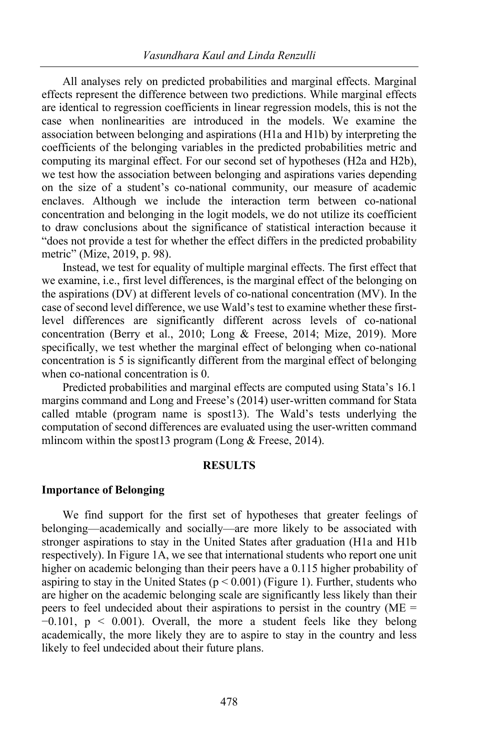All analyses rely on predicted probabilities and marginal effects. Marginal effects represent the difference between two predictions. While marginal effects are identical to regression coefficients in linear regression models, this is not the case when nonlinearities are introduced in the models. We examine the association between belonging and aspirations (H1a and H1b) by interpreting the coefficients of the belonging variables in the predicted probabilities metric and computing its marginal effect. For our second set of hypotheses (H2a and H2b), we test how the association between belonging and aspirations varies depending on the size of a student's co-national community, our measure of academic enclaves. Although we include the interaction term between co-national concentration and belonging in the logit models, we do not utilize its coefficient to draw conclusions about the significance of statistical interaction because it "does not provide a test for whether the effect differs in the predicted probability metric" (Mize, 2019, p. 98).

Instead, we test for equality of multiple marginal effects. The first effect that we examine, i.e., first level differences, is the marginal effect of the belonging on the aspirations (DV) at different levels of co-national concentration (MV). In the case of second level difference, we use Wald's test to examine whether these firstlevel differences are significantly different across levels of co-national concentration (Berry et al., 2010; Long & Freese, 2014; Mize, 2019). More specifically, we test whether the marginal effect of belonging when co-national concentration is 5 is significantly different from the marginal effect of belonging when co-national concentration is 0.

Predicted probabilities and marginal effects are computed using Stata's 16.1 margins command and Long and Freese's (2014) user-written command for Stata called mtable (program name is spost13). The Wald's tests underlying the computation of second differences are evaluated using the user-written command mlincom within the spost13 program (Long & Freese, 2014).

## **RESULTS**

#### **Importance of Belonging**

We find support for the first set of hypotheses that greater feelings of belonging—academically and socially—are more likely to be associated with stronger aspirations to stay in the United States after graduation (H1a and H1b respectively). In Figure 1A, we see that international students who report one unit higher on academic belonging than their peers have a 0.115 higher probability of aspiring to stay in the United States ( $p < 0.001$ ) (Figure 1). Further, students who are higher on the academic belonging scale are significantly less likely than their peers to feel undecided about their aspirations to persist in the country (ME =  $-0.101$ ,  $p \le 0.001$ ). Overall, the more a student feels like they belong academically, the more likely they are to aspire to stay in the country and less likely to feel undecided about their future plans.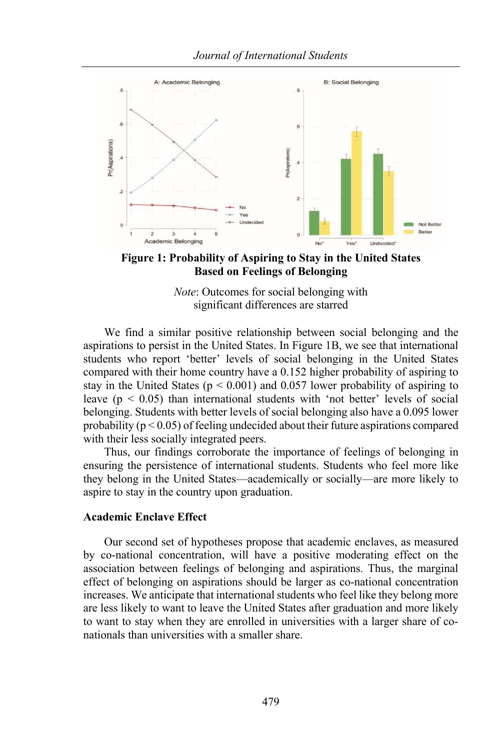

**Figure 1: Probability of Aspiring to Stay in the United States Based on Feelings of Belonging**

*Note*: Outcomes for social belonging with significant differences are starred

We find a similar positive relationship between social belonging and the aspirations to persist in the United States. In Figure 1B, we see that international students who report 'better' levels of social belonging in the United States compared with their home country have a 0.152 higher probability of aspiring to stay in the United States ( $p < 0.001$ ) and 0.057 lower probability of aspiring to leave ( $p < 0.05$ ) than international students with 'not better' levels of social belonging. Students with better levels of social belonging also have a 0.095 lower probability ( $p < 0.05$ ) of feeling undecided about their future aspirations compared with their less socially integrated peers.

Thus, our findings corroborate the importance of feelings of belonging in ensuring the persistence of international students. Students who feel more like they belong in the United States—academically or socially—are more likely to aspire to stay in the country upon graduation.

#### **Academic Enclave Effect**

Our second set of hypotheses propose that academic enclaves, as measured by co-national concentration, will have a positive moderating effect on the association between feelings of belonging and aspirations. Thus, the marginal effect of belonging on aspirations should be larger as co-national concentration increases. We anticipate that international students who feel like they belong more are less likely to want to leave the United States after graduation and more likely to want to stay when they are enrolled in universities with a larger share of conationals than universities with a smaller share.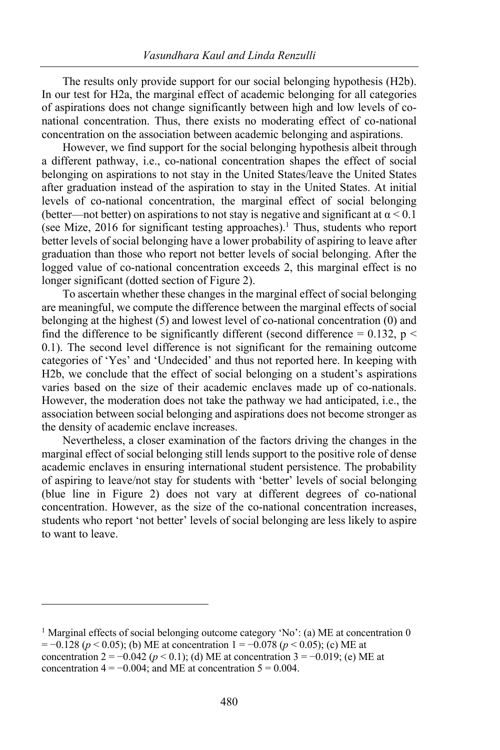The results only provide support for our social belonging hypothesis (H2b). In our test for H2a, the marginal effect of academic belonging for all categories of aspirations does not change significantly between high and low levels of conational concentration. Thus, there exists no moderating effect of co-national concentration on the association between academic belonging and aspirations.

However, we find support for the social belonging hypothesis albeit through a different pathway, i.e., co-national concentration shapes the effect of social belonging on aspirations to not stay in the United States/leave the United States after graduation instead of the aspiration to stay in the United States. At initial levels of co-national concentration, the marginal effect of social belonging (better—not better) on aspirations to not stay is negative and significant at  $\alpha$  < 0.1 (see Mize, 2016 for significant testing approaches).<sup>1</sup> Thus, students who report better levels of social belonging have a lower probability of aspiring to leave after graduation than those who report not better levels of social belonging. After the logged value of co-national concentration exceeds 2, this marginal effect is no longer significant (dotted section of Figure 2).

To ascertain whether these changes in the marginal effect of social belonging are meaningful, we compute the difference between the marginal effects of social belonging at the highest (5) and lowest level of co-national concentration (0) and find the difference to be significantly different (second difference =  $0.132$ , p < 0.1). The second level difference is not significant for the remaining outcome categories of 'Yes' and 'Undecided' and thus not reported here. In keeping with H2b, we conclude that the effect of social belonging on a student's aspirations varies based on the size of their academic enclaves made up of co-nationals. However, the moderation does not take the pathway we had anticipated, i.e., the association between social belonging and aspirations does not become stronger as the density of academic enclave increases.

Nevertheless, a closer examination of the factors driving the changes in the marginal effect of social belonging still lends support to the positive role of dense academic enclaves in ensuring international student persistence. The probability of aspiring to leave/not stay for students with 'better' levels of social belonging (blue line in Figure 2) does not vary at different degrees of co-national concentration. However, as the size of the co-national concentration increases, students who report 'not better' levels of social belonging are less likely to aspire to want to leave.

<sup>&</sup>lt;sup>1</sup> Marginal effects of social belonging outcome category 'No': (a) ME at concentration 0 = −0.128 (*p* < 0.05); (b) ME at concentration 1 = −0.078 (*p* < 0.05); (c) ME at concentration  $2 = -0.042$  ( $p < 0.1$ ); (d) ME at concentration  $3 = -0.019$ ; (e) ME at concentration  $4 = -0.004$ ; and ME at concentration  $5 = 0.004$ .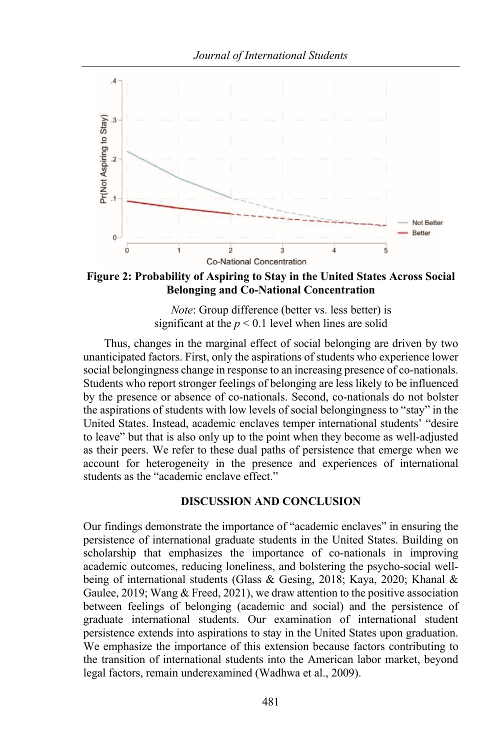

**Figure 2: Probability of Aspiring to Stay in the United States Across Social Belonging and Co-National Concentration**

*Note*: Group difference (better vs. less better) is significant at the  $p < 0.1$  level when lines are solid

Thus, changes in the marginal effect of social belonging are driven by two unanticipated factors. First, only the aspirations of students who experience lower social belongingness change in response to an increasing presence of co-nationals. Students who report stronger feelings of belonging are less likely to be influenced by the presence or absence of co-nationals. Second, co-nationals do not bolster the aspirations of students with low levels of social belongingness to "stay" in the United States. Instead, academic enclaves temper international students' "desire to leave" but that is also only up to the point when they become as well-adjusted as their peers. We refer to these dual paths of persistence that emerge when we account for heterogeneity in the presence and experiences of international students as the "academic enclave effect."

#### **DISCUSSION AND CONCLUSION**

Our findings demonstrate the importance of "academic enclaves" in ensuring the persistence of international graduate students in the United States. Building on scholarship that emphasizes the importance of co-nationals in improving academic outcomes, reducing loneliness, and bolstering the psycho-social wellbeing of international students (Glass & Gesing, 2018; Kaya, 2020; Khanal & Gaulee, 2019; Wang & Freed, 2021), we draw attention to the positive association between feelings of belonging (academic and social) and the persistence of graduate international students. Our examination of international student persistence extends into aspirations to stay in the United States upon graduation. We emphasize the importance of this extension because factors contributing to the transition of international students into the American labor market, beyond legal factors, remain underexamined (Wadhwa et al., 2009).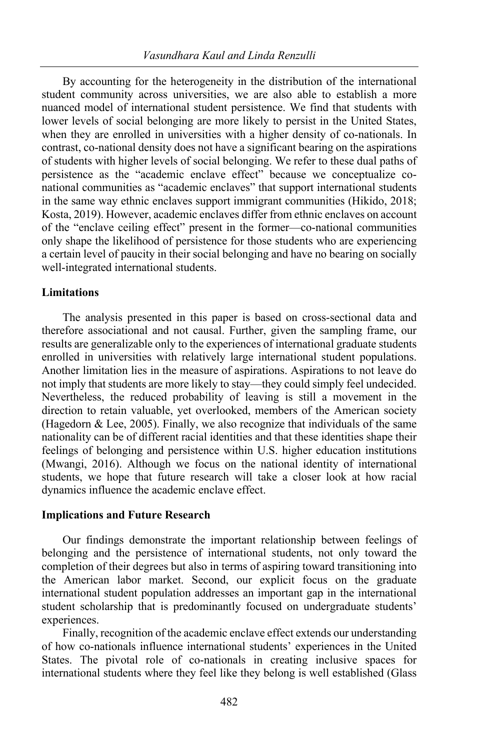By accounting for the heterogeneity in the distribution of the international student community across universities, we are also able to establish a more nuanced model of international student persistence. We find that students with lower levels of social belonging are more likely to persist in the United States, when they are enrolled in universities with a higher density of co-nationals. In contrast, co-national density does not have a significant bearing on the aspirations of students with higher levels of social belonging. We refer to these dual paths of persistence as the "academic enclave effect" because we conceptualize conational communities as "academic enclaves" that support international students in the same way ethnic enclaves support immigrant communities (Hikido, 2018; Kosta, 2019). However, academic enclaves differ from ethnic enclaves on account of the "enclave ceiling effect" present in the former—co-national communities only shape the likelihood of persistence for those students who are experiencing a certain level of paucity in their social belonging and have no bearing on socially well-integrated international students.

#### **Limitations**

The analysis presented in this paper is based on cross-sectional data and therefore associational and not causal. Further, given the sampling frame, our results are generalizable only to the experiences of international graduate students enrolled in universities with relatively large international student populations. Another limitation lies in the measure of aspirations. Aspirations to not leave do not imply that students are more likely to stay—they could simply feel undecided. Nevertheless, the reduced probability of leaving is still a movement in the direction to retain valuable, yet overlooked, members of the American society (Hagedorn  $\&$  Lee, 2005). Finally, we also recognize that individuals of the same nationality can be of different racial identities and that these identities shape their feelings of belonging and persistence within U.S. higher education institutions (Mwangi, 2016). Although we focus on the national identity of international students, we hope that future research will take a closer look at how racial dynamics influence the academic enclave effect.

#### **Implications and Future Research**

Our findings demonstrate the important relationship between feelings of belonging and the persistence of international students, not only toward the completion of their degrees but also in terms of aspiring toward transitioning into the American labor market. Second, our explicit focus on the graduate international student population addresses an important gap in the international student scholarship that is predominantly focused on undergraduate students' experiences.

Finally, recognition of the academic enclave effect extends our understanding of how co-nationals influence international students' experiences in the United States. The pivotal role of co-nationals in creating inclusive spaces for international students where they feel like they belong is well established (Glass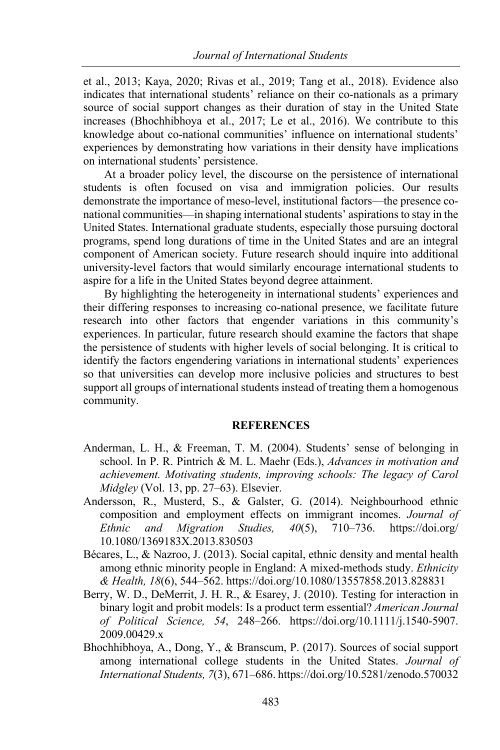et al., 2013; Kaya, 2020; Rivas et al., 2019; Tang et al., 2018). Evidence also indicates that international students' reliance on their co-nationals as a primary source of social support changes as their duration of stay in the United State increases (Bhochhibhoya et al., 2017; Le et al., 2016). We contribute to this knowledge about co-national communities' influence on international students' experiences by demonstrating how variations in their density have implications on international students' persistence.

At a broader policy level, the discourse on the persistence of international students is often focused on visa and immigration policies. Our results demonstrate the importance of meso-level, institutional factors—the presence conational communities—in shaping international students' aspirations to stay in the United States. International graduate students, especially those pursuing doctoral programs, spend long durations of time in the United States and are an integral component of American society. Future research should inquire into additional university-level factors that would similarly encourage international students to aspire for a life in the United States beyond degree attainment.

By highlighting the heterogeneity in international students' experiences and their differing responses to increasing co-national presence, we facilitate future research into other factors that engender variations in this community's experiences. In particular, future research should examine the factors that shape the persistence of students with higher levels of social belonging. It is critical to identify the factors engendering variations in international students' experiences so that universities can develop more inclusive policies and structures to best support all groups of international students instead of treating them a homogenous community.

# **REFERENCES**

- Anderman, L. H., & Freeman, T. M. (2004). Students' sense of belonging in school. In P. R. Pintrich & M. L. Maehr (Eds.), *Advances in motivation and achievement. Motivating students, improving schools: The legacy of Carol Midgley* (Vol. 13, pp. 27–63). Elsevier.
- Andersson, R., Musterd, S., & Galster, G. (2014). Neighbourhood ethnic composition and employment effects on immigrant incomes. *Journal of Ethnic and Migration Studies, 40*(5), 710–736. https://doi.org/ 10.1080/1369183X.2013.830503
- Bécares, L., & Nazroo, J. (2013). Social capital, ethnic density and mental health among ethnic minority people in England: A mixed-methods study. *Ethnicity & Health, 18*(6), 544–562. https://doi.org/10.1080/13557858.2013.828831
- Berry, W. D., DeMerrit, J. H. R., & Esarey, J. (2010). Testing for interaction in binary logit and probit models: Is a product term essential? *American Journal of Political Science, 54*, 248–266. https://doi.org/10.1111/j.1540-5907. 2009.00429.x
- Bhochhibhoya, A., Dong, Y., & Branscum, P. (2017). Sources of social support among international college students in the United States. *Journal of International Students, 7*(3), 671–686. https://doi.org/10.5281/zenodo.570032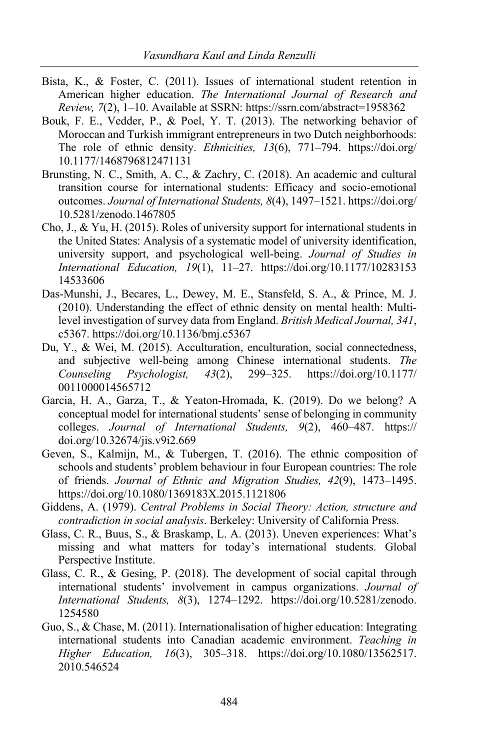- Bista, K., & Foster, C. (2011). Issues of international student retention in American higher education. *The International Journal of Research and Review, 7*(2), 1–10. Available at SSRN: https://ssrn.com/abstract=1958362
- Bouk, F. E., Vedder, P., & Poel, Y. T. (2013). The networking behavior of Moroccan and Turkish immigrant entrepreneurs in two Dutch neighborhoods: The role of ethnic density. *Ethnicities, 13*(6), 771–794. https://doi.org/ 10.1177/1468796812471131
- Brunsting, N. C., Smith, A. C., & Zachry, C. (2018). An academic and cultural transition course for international students: Efficacy and socio-emotional outcomes. *Journal of International Students, 8*(4), 1497–1521. https://doi.org/ 10.5281/zenodo.1467805
- Cho, J., & Yu, H. (2015). Roles of university support for international students in the United States: Analysis of a systematic model of university identification, university support, and psychological well-being. *Journal of Studies in International Education, 19*(1), 11–27. https://doi.org/10.1177/10283153 14533606
- Das-Munshi, J., Becares, L., Dewey, M. E., Stansfeld, S. A., & Prince, M. J. (2010). Understanding the effect of ethnic density on mental health: Multilevel investigation of survey data from England. *British Medical Journal, 341*, c5367. https://doi.org/10.1136/bmj.c5367
- Du, Y., & Wei, M. (2015). Acculturation, enculturation, social connectedness, and subjective well-being among Chinese international students. *The Counseling Psychologist, 43*(2), 299–325. https://doi.org/10.1177/ 0011000014565712
- Garcia, H. A., Garza, T., & Yeaton-Hromada, K. (2019). Do we belong? A conceptual model for international students' sense of belonging in community colleges. *Journal of International Students, 9*(2), 460–487. https:// doi.org/10.32674/jis.v9i2.669
- Geven, S., Kalmijn, M., & Tubergen, T. (2016). The ethnic composition of schools and students' problem behaviour in four European countries: The role of friends. *Journal of Ethnic and Migration Studies, 42*(9), 1473–1495. https://doi.org/10.1080/1369183X.2015.1121806
- Giddens, A. (1979). *Central Problems in Social Theory: Action, structure and contradiction in social analysis*. Berkeley: University of California Press.
- Glass, C. R., Buus, S., & Braskamp, L. A. (2013). Uneven experiences: What's missing and what matters for today's international students. Global Perspective Institute.
- Glass, C. R., & Gesing, P. (2018). The development of social capital through international students' involvement in campus organizations. *Journal of International Students, 8*(3), 1274–1292. https://doi.org/10.5281/zenodo. 1254580
- Guo, S., & Chase, M. (2011). Internationalisation of higher education: Integrating international students into Canadian academic environment. *Teaching in Higher Education, 16*(3), 305–318. https://doi.org/10.1080/13562517. 2010.546524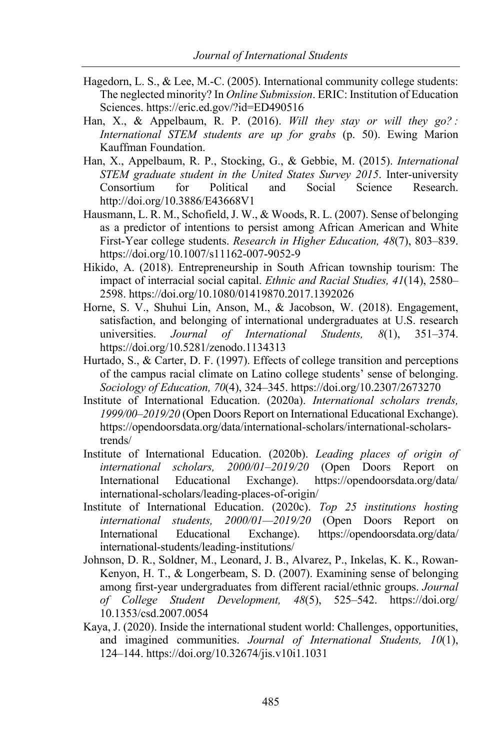- Hagedorn, L. S., & Lee, M.-C. (2005). International community college students: The neglected minority? In *Online Submission*. ERIC: Institution of Education Sciences. https://eric.ed.gov/?id=ED490516
- Han, X., & Appelbaum, R. P. (2016). *Will they stay or will they go? : International STEM students are up for grabs* (p. 50). Ewing Marion Kauffman Foundation.
- Han, X., Appelbaum, R. P., Stocking, G., & Gebbie, M. (2015). *International STEM graduate student in the United States Survey 2015*. Inter-university Consortium for Political and Social Science Research. http://doi.org/10.3886/E43668V1
- Hausmann, L. R. M., Schofield, J. W., & Woods, R. L. (2007). Sense of belonging as a predictor of intentions to persist among African American and White First-Year college students. *Research in Higher Education, 48*(7), 803–839. https://doi.org/10.1007/s11162-007-9052-9
- Hikido, A. (2018). Entrepreneurship in South African township tourism: The impact of interracial social capital. *Ethnic and Racial Studies, 41*(14), 2580– 2598. https://doi.org/10.1080/01419870.2017.1392026
- Horne, S. V., Shuhui Lin, Anson, M., & Jacobson, W. (2018). Engagement, satisfaction, and belonging of international undergraduates at U.S. research universities. *Journal of International Students, 8*(1), 351–374. https://doi.org/10.5281/zenodo.1134313
- Hurtado, S., & Carter, D. F. (1997). Effects of college transition and perceptions of the campus racial climate on Latino college students' sense of belonging. *Sociology of Education, 70*(4), 324–345. https://doi.org/10.2307/2673270
- Institute of International Education. (2020a). *International scholars trends, 1999/00–2019/20* (Open Doors Report on International Educational Exchange). https://opendoorsdata.org/data/international-scholars/international-scholarstrends/
- Institute of International Education. (2020b). *Leading places of origin of international scholars, 2000/01–2019/20* (Open Doors Report on International Educational Exchange). https://opendoorsdata.org/data/ international-scholars/leading-places-of-origin/
- Institute of International Education. (2020c). *Top 25 institutions hosting international students, 2000/01—2019/20* (Open Doors Report on International Educational Exchange). https://opendoorsdata.org/data/ international-students/leading-institutions/
- Johnson, D. R., Soldner, M., Leonard, J. B., Alvarez, P., Inkelas, K. K., Rowan-Kenyon, H. T., & Longerbeam, S. D. (2007). Examining sense of belonging among first-year undergraduates from different racial/ethnic groups. *Journal of College Student Development, 48*(5), 525–542. https://doi.org/ 10.1353/csd.2007.0054
- Kaya, J. (2020). Inside the international student world: Challenges, opportunities, and imagined communities. *Journal of International Students, 10*(1), 124–144. https://doi.org/10.32674/jis.v10i1.1031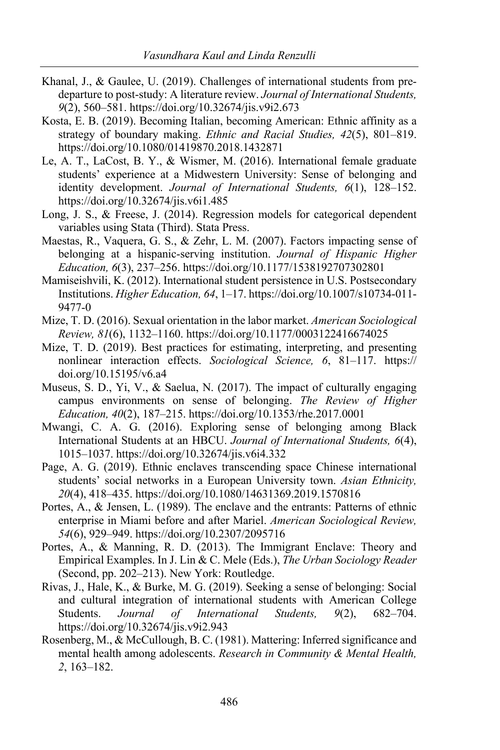- Khanal, J., & Gaulee, U. (2019). Challenges of international students from predeparture to post-study: A literature review. *Journal of International Students, 9*(2), 560–581. https://doi.org/10.32674/jis.v9i2.673
- Kosta, E. B. (2019). Becoming Italian, becoming American: Ethnic affinity as a strategy of boundary making. *Ethnic and Racial Studies, 42*(5), 801–819. https://doi.org/10.1080/01419870.2018.1432871
- Le, A. T., LaCost, B. Y., & Wismer, M. (2016). International female graduate students' experience at a Midwestern University: Sense of belonging and identity development. *Journal of International Students, 6*(1), 128–152. https://doi.org/10.32674/jis.v6i1.485
- Long, J. S., & Freese, J. (2014). Regression models for categorical dependent variables using Stata (Third). Stata Press.
- Maestas, R., Vaquera, G. S., & Zehr, L. M. (2007). Factors impacting sense of belonging at a hispanic-serving institution. *Journal of Hispanic Higher Education, 6*(3), 237–256. https://doi.org/10.1177/1538192707302801
- Mamiseishvili, K. (2012). International student persistence in U.S. Postsecondary Institutions. *Higher Education, 64*, 1–17. https://doi.org/10.1007/s10734-011- 9477-0
- Mize, T. D. (2016). Sexual orientation in the labor market. *American Sociological Review, 81*(6), 1132–1160. https://doi.org/10.1177/0003122416674025
- Mize, T. D. (2019). Best practices for estimating, interpreting, and presenting nonlinear interaction effects. *Sociological Science, 6*, 81–117. https:// doi.org/10.15195/v6.a4
- Museus, S. D., Yi, V., & Saelua, N. (2017). The impact of culturally engaging campus environments on sense of belonging. *The Review of Higher Education, 40*(2), 187–215. https://doi.org/10.1353/rhe.2017.0001
- Mwangi, C. A. G. (2016). Exploring sense of belonging among Black International Students at an HBCU. *Journal of International Students, 6*(4), 1015–1037. https://doi.org/10.32674/jis.v6i4.332
- Page, A. G. (2019). Ethnic enclaves transcending space Chinese international students' social networks in a European University town. *Asian Ethnicity, 20*(4), 418–435. https://doi.org/10.1080/14631369.2019.1570816
- Portes, A., & Jensen, L. (1989). The enclave and the entrants: Patterns of ethnic enterprise in Miami before and after Mariel. *American Sociological Review, 54*(6), 929–949. https://doi.org/10.2307/2095716
- Portes, A., & Manning, R. D. (2013). The Immigrant Enclave: Theory and Empirical Examples. In J. Lin & C. Mele (Eds.), *The Urban Sociology Reader* (Second, pp. 202–213). New York: Routledge.
- Rivas, J., Hale, K., & Burke, M. G. (2019). Seeking a sense of belonging: Social and cultural integration of international students with American College Students. *Journal of International Students, 9*(2), 682–704. https://doi.org/10.32674/jis.v9i2.943
- Rosenberg, M., & McCullough, B. C. (1981). Mattering: Inferred significance and mental health among adolescents. *Research in Community & Mental Health, 2*, 163–182.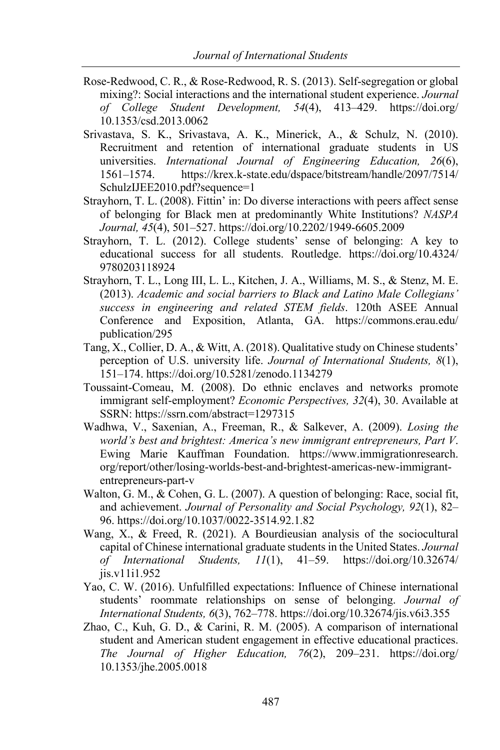- Rose-Redwood, C. R., & Rose-Redwood, R. S. (2013). Self-segregation or global mixing?: Social interactions and the international student experience. *Journal of College Student Development, 54*(4), 413–429. https://doi.org/ 10.1353/csd.2013.0062
- Srivastava, S. K., Srivastava, A. K., Minerick, A., & Schulz, N. (2010). Recruitment and retention of international graduate students in US universities. *International Journal of Engineering Education, 26*(6), 1561–1574. https://krex.k-state.edu/dspace/bitstream/handle/2097/7514/ SchulzIJEE2010.pdf?sequence=1
- Strayhorn, T. L. (2008). Fittin' in: Do diverse interactions with peers affect sense of belonging for Black men at predominantly White Institutions? *NASPA Journal, 45*(4), 501–527. https://doi.org/10.2202/1949-6605.2009
- Strayhorn, T. L. (2012). College students' sense of belonging: A key to educational success for all students. Routledge. https://doi.org/10.4324/ 9780203118924
- Strayhorn, T. L., Long III, L. L., Kitchen, J. A., Williams, M. S., & Stenz, M. E. (2013). *Academic and social barriers to Black and Latino Male Collegians' success in engineering and related STEM fields*. 120th ASEE Annual Conference and Exposition, Atlanta, GA. https://commons.erau.edu/ publication/295
- Tang, X., Collier, D. A., & Witt, A. (2018). Qualitative study on Chinese students' perception of U.S. university life. *Journal of International Students, 8*(1), 151–174. https://doi.org/10.5281/zenodo.1134279
- Toussaint-Comeau, M. (2008). Do ethnic enclaves and networks promote immigrant self-employment? *Economic Perspectives, 32*(4), 30. Available at SSRN: https://ssrn.com/abstract=1297315
- Wadhwa, V., Saxenian, A., Freeman, R., & Salkever, A. (2009). *Losing the world's best and brightest: America's new immigrant entrepreneurs, Part V*. Ewing Marie Kauffman Foundation. https://www.immigrationresearch. org/report/other/losing-worlds-best-and-brightest-americas-new-immigrantentrepreneurs-part-v
- Walton, G. M., & Cohen, G. L. (2007). A question of belonging: Race, social fit, and achievement. *Journal of Personality and Social Psychology, 92*(1), 82– 96. https://doi.org/10.1037/0022-3514.92.1.82
- Wang, X., & Freed, R. (2021). A Bourdieusian analysis of the sociocultural capital of Chinese international graduate students in the United States. *Journal of International Students, 11*(1), 41–59. https://doi.org/10.32674/ jis.v11i1.952
- Yao, C. W. (2016). Unfulfilled expectations: Influence of Chinese international students' roommate relationships on sense of belonging. *Journal of International Students, 6*(3), 762–778. https://doi.org/10.32674/jis.v6i3.355
- Zhao, C., Kuh, G. D., & Carini, R. M. (2005). A comparison of international student and American student engagement in effective educational practices. *The Journal of Higher Education, 76*(2), 209–231. https://doi.org/ 10.1353/jhe.2005.0018